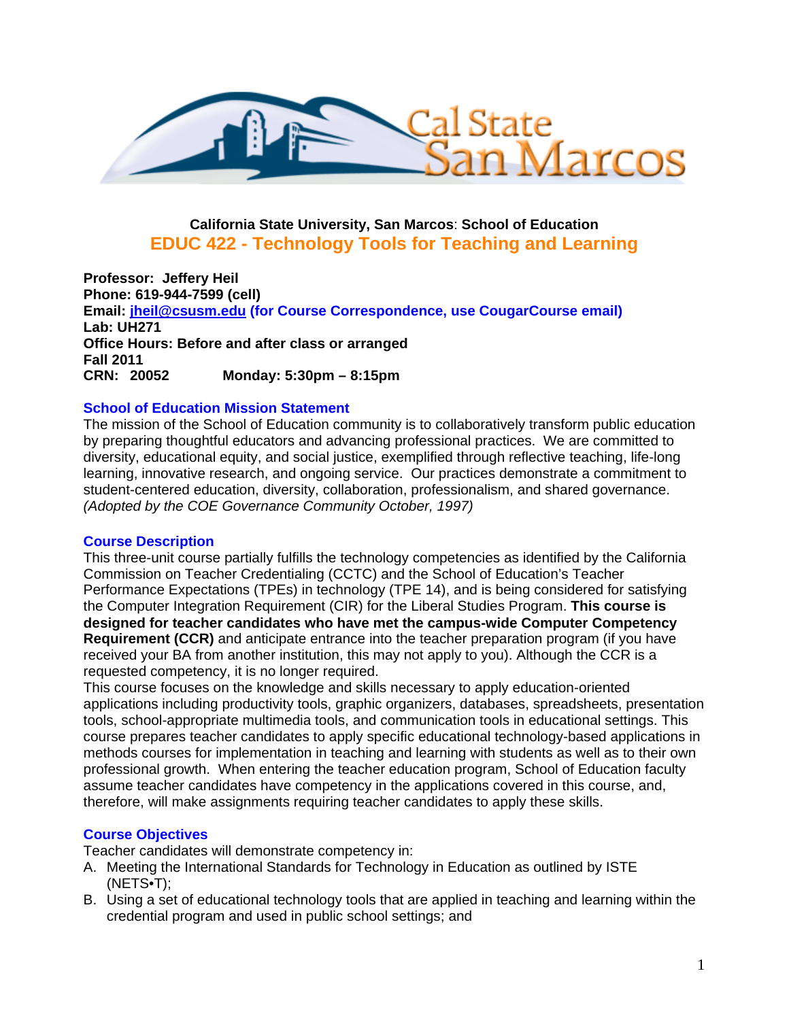

# **California State University, San Marcos**: **School of Education EDUC 422 - Technology Tools for Teaching and Learning**

**Lab: UH271** CRN: 20052 **Professor: Jeffery Heil Phone: 619-944-7599 (cell) Email: jheil@csusm.edu (for Course Correspondence, use CougarCourse email) Office Hours: Before and after class or arranged Fall 2011 CRN: 20052 Monday: 5:30pm – 8:15pm** 

### **School of Education Mission Statement**

The mission of the School of Education community is to collaboratively transform public education by preparing thoughtful educators and advancing professional practices. We are committed to diversity, educational equity, and social justice, exemplified through reflective teaching, life-long learning, innovative research, and ongoing service. Our practices demonstrate a commitment to student-centered education, diversity, collaboration, professionalism, and shared governance. *(Adopted by the COE Governance Community October, 1997)* 

#### **Course Description**

This three-unit course partially fulfills the technology competencies as identified by the California Commission on Teacher Credentialing (CCTC) and the School of Education's Teacher Performance Expectations (TPEs) in technology (TPE 14), and is being considered for satisfying the Computer Integration Requirement (CIR) for the Liberal Studies Program. **This course is designed for teacher candidates who have met the campus-wide Computer Competency Requirement (CCR)** and anticipate entrance into the teacher preparation program (if you have received your BA from another institution, this may not apply to you). Although the CCR is a requested competency, it is no longer required.

This course focuses on the knowledge and skills necessary to apply education-oriented applications including productivity tools, graphic organizers, databases, spreadsheets, presentation tools, school-appropriate multimedia tools, and communication tools in educational settings. This course prepares teacher candidates to apply specific educational technology-based applications in methods courses for implementation in teaching and learning with students as well as to their own professional growth. When entering the teacher education program, School of Education faculty assume teacher candidates have competency in the applications covered in this course, and, therefore, will make assignments requiring teacher candidates to apply these skills.

#### **Course Objectives**

Teacher candidates will demonstrate competency in:

- A. Meeting the International Standards for Technology in Education as outlined by ISTE (NETS•T);
- B. Using a set of educational technology tools that are applied in teaching and learning within the credential program and used in public school settings; and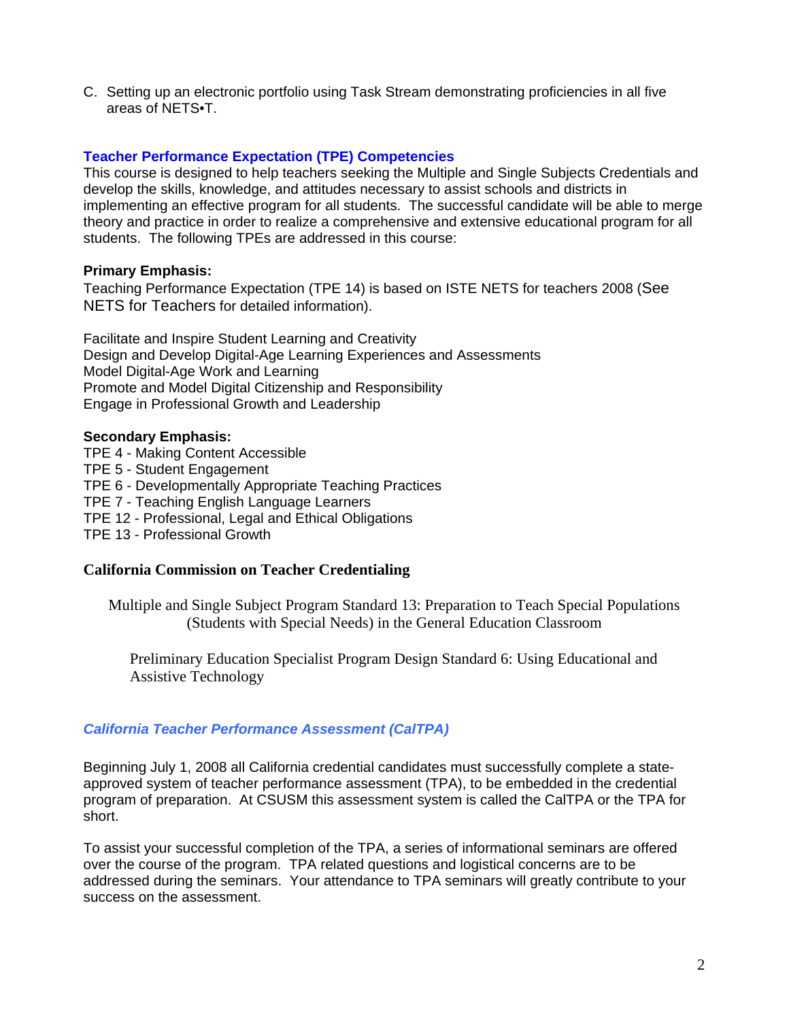C. Setting up an electronic portfolio using Task Stream demonstrating proficiencies in all five areas of NETS•T.

### **Teacher Performance Expectation (TPE) Competencies**

This course is designed to help teachers seeking the Multiple and Single Subjects Credentials and develop the skills, knowledge, and attitudes necessary to assist schools and districts in implementing an effective program for all students. The successful candidate will be able to merge theory and practice in order to realize a comprehensive and extensive educational program for all students. The following TPEs are addressed in this course:

## **Primary Emphasis:**

Teaching Performance Expectation (TPE 14) is based on ISTE NETS for teachers 2008 (See NETS for Teachers for detailed information).

Facilitate and Inspire Student Learning and Creativity Design and Develop Digital-Age Learning Experiences and Assessments Model Digital-Age Work and Learning Promote and Model Digital Citizenship and Responsibility Engage in Professional Growth and Leadership

## **Secondary Emphasis:**

TPE 4 - Making Content Accessible TPE 5 - Student Engagement TPE 6 - Developmentally Appropriate Teaching Practices TPE 7 - Teaching English Language Learners TPE 12 - Professional, Legal and Ethical Obligations TPE 13 - Professional Growth

# **California Commission on Teacher Credentialing**

(Students with Special Needs) in the General Education Classroom Multiple and Single Subject Program Standard 13: Preparation to Teach Special Populations

Preliminary Education Specialist Program Design Standard 6: Using Educational and Assistive Technology

# *California Teacher Performance Assessment (CalTPA)*

Beginning July 1, 2008 all California credential candidates must successfully complete a stateapproved system of teacher performance assessment (TPA), to be embedded in the credential program of preparation. At CSUSM this assessment system is called the CalTPA or the TPA for short.

To assist your successful completion of the TPA, a series of informational seminars are offered over the course of the program. TPA related questions and logistical concerns are to be addressed during the seminars. Your attendance to TPA seminars will greatly contribute to your success on the assessment.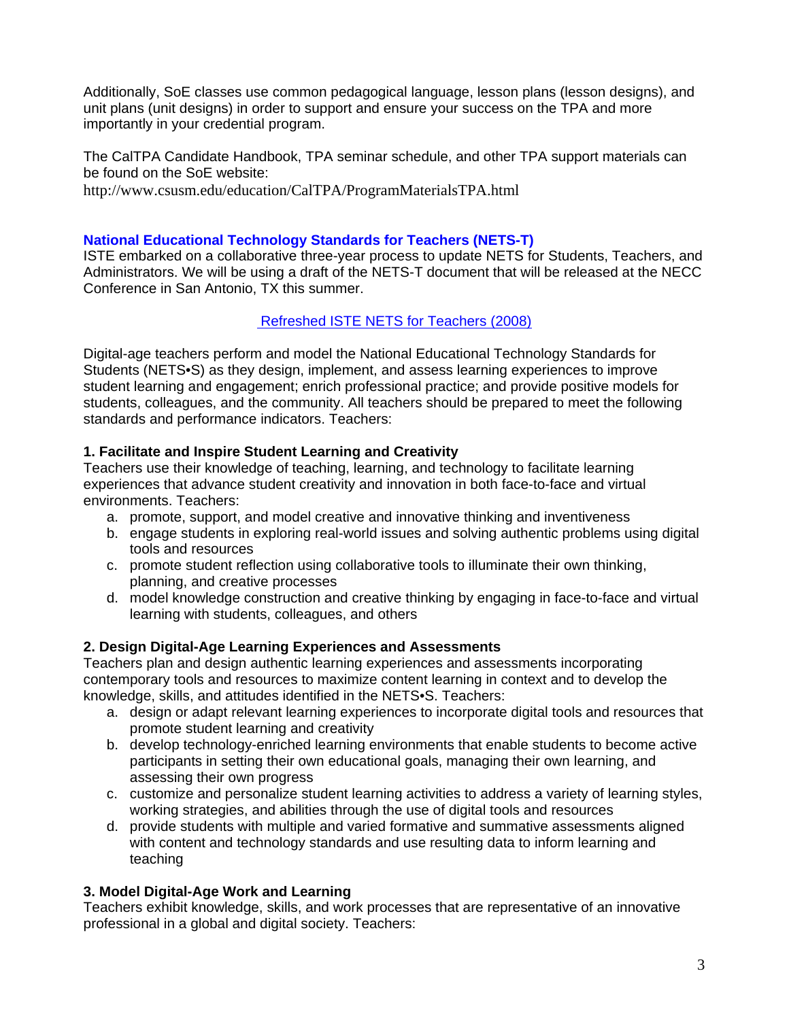Additionally, SoE classes use common pedagogical language, lesson plans (lesson designs), and unit plans (unit designs) in order to support and ensure your success on the TPA and more importantly in your credential program.

The CalTPA Candidate Handbook, TPA seminar schedule, and other TPA support materials can be found on the SoE website:

http://www.csusm.edu/education/CalTPA/ProgramMaterialsTPA.html

# **National Educational Technology Standards for Teachers (NETS-T)**

ISTE embarked on a collaborative three-year process to update NETS for Students, Teachers, and Administrators. We will be using a draft of the NETS-T document that will be released at the NECC Conference in San Antonio, TX this summer.

# Refreshed ISTE NETS for Teachers (2008)

Digital-age teachers perform and model the National Educational Technology Standards for Students (NETS•S) as they design, implement, and assess learning experiences to improve student learning and engagement; enrich professional practice; and provide positive models for students, colleagues, and the community. All teachers should be prepared to meet the following standards and performance indicators. Teachers:

# **1. Facilitate and Inspire Student Learning and Creativity**

environments. Teachers: Teachers use their knowledge of teaching, learning, and technology to facilitate learning experiences that advance student creativity and innovation in both face-to-face and virtual

- a. promote, support, and model creative and innovative thinking and inventiveness
- b. engage students in exploring real-world issues and solving authentic problems using digital tools and resources
- c. promote student reflection using collaborative tools to illuminate their own thinking, planning, and creative processes
- d. model knowledge construction and creative thinking by engaging in face-to-face and virtual learning with students, colleagues, and others

# **2. Design Digital-Age Learning Experiences and Assessments**

Teachers plan and design authentic learning experiences and assessments incorporating contemporary tools and resources to maximize content learning in context and to develop the knowledge, skills, and attitudes identified in the NETS•S. Teachers:

- a. design or adapt relevant learning experiences to incorporate digital tools and resources that promote student learning and creativity
- b. develop technology-enriched learning environments that enable students to become active participants in setting their own educational goals, managing their own learning, and assessing their own progress
- c. customize and personalize student learning activities to address a variety of learning styles, working strategies, and abilities through the use of digital tools and resources
- d. provide students with multiple and varied formative and summative assessments aligned with content and technology standards and use resulting data to inform learning and teaching

# **3. Model Digital-Age Work and Learning**

Teachers exhibit knowledge, skills, and work processes that are representative of an innovative professional in a global and digital society. Teachers: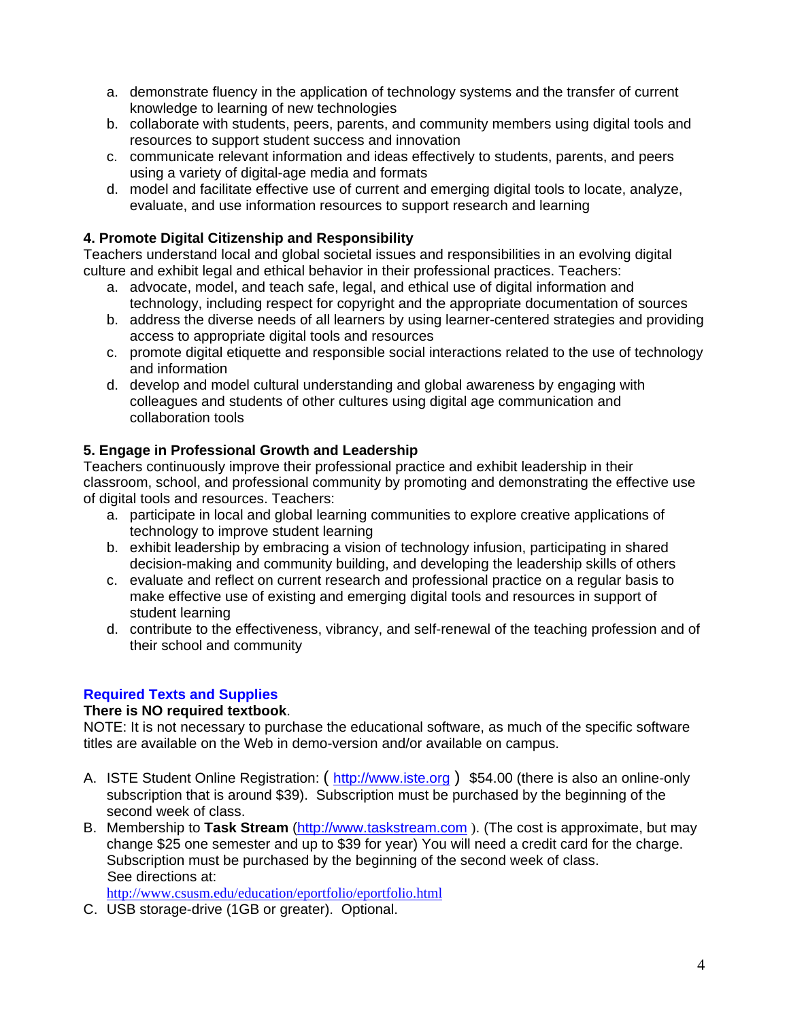- a. demonstrate fluency in the application of technology systems and the transfer of current knowledge to learning of new technologies
- b. collaborate with students, peers, parents, and community members using digital tools and resources to support student success and innovation
- c. communicate relevant information and ideas effectively to students, parents, and peers using a variety of digital-age media and formats
- evaluate, and use information resources to support research and learning d. model and facilitate effective use of current and emerging digital tools to locate, analyze,

## **4. Promote Digital Citizenship and Responsibility**

Teachers understand local and global societal issues and responsibilities in an evolving digital culture and exhibit legal and ethical behavior in their professional practices. Teachers:

- a. advocate, model, and teach safe, legal, and ethical use of digital information and technology, including respect for copyright and the appropriate documentation of sources
- b. address the diverse needs of all learners by using learner-centered strategies and providing access to appropriate digital tools and resources
- c. promote digital etiquette and responsible social interactions related to the use of technology and information
- d. develop and model cultural understanding and global awareness by engaging with colleagues and students of other cultures using digital age communication and collaboration tools

## **5. Engage in Professional Growth and Leadership**

Teachers continuously improve their professional practice and exhibit leadership in their classroom, school, and professional community by promoting and demonstrating the effective use of digital tools and resources. Teachers:

- a. participate in local and global learning communities to explore creative applications of technology to improve student learning
- b. exhibit leadership by embracing a vision of technology infusion, participating in shared decision-making and community building, and developing the leadership skills of others
- c. evaluate and reflect on current research and professional practice on a regular basis to make effective use of existing and emerging digital tools and resources in support of student learning
- d. contribute to the effectiveness, vibrancy, and self-renewal of the teaching profession and of their school and community

# **Required Texts and Supplies**

### **There is NO required textbook**.

NOTE: It is not necessary to purchase the educational software, as much of the specific software titles are available on the Web in demo-version and/or available on campus.

- A. ISTE Student Online Registration: ( http://www.iste.org ) \$54.00 (there is also an online-only subscription that is around \$39). Subscription must be purchased by the beginning of the second week of class.
- B. Membership to **Task Stream** (http://www.taskstream.com ). (The cost is approximate, but may change \$25 one semester and up to \$39 for year) You will need a credit card for the charge. Subscription must be purchased by the beginning of the second week of class. See directions at:

http://www.csusm.edu/education/eportfolio/eportfolio.html

C. USB storage-drive (1GB or greater). Optional.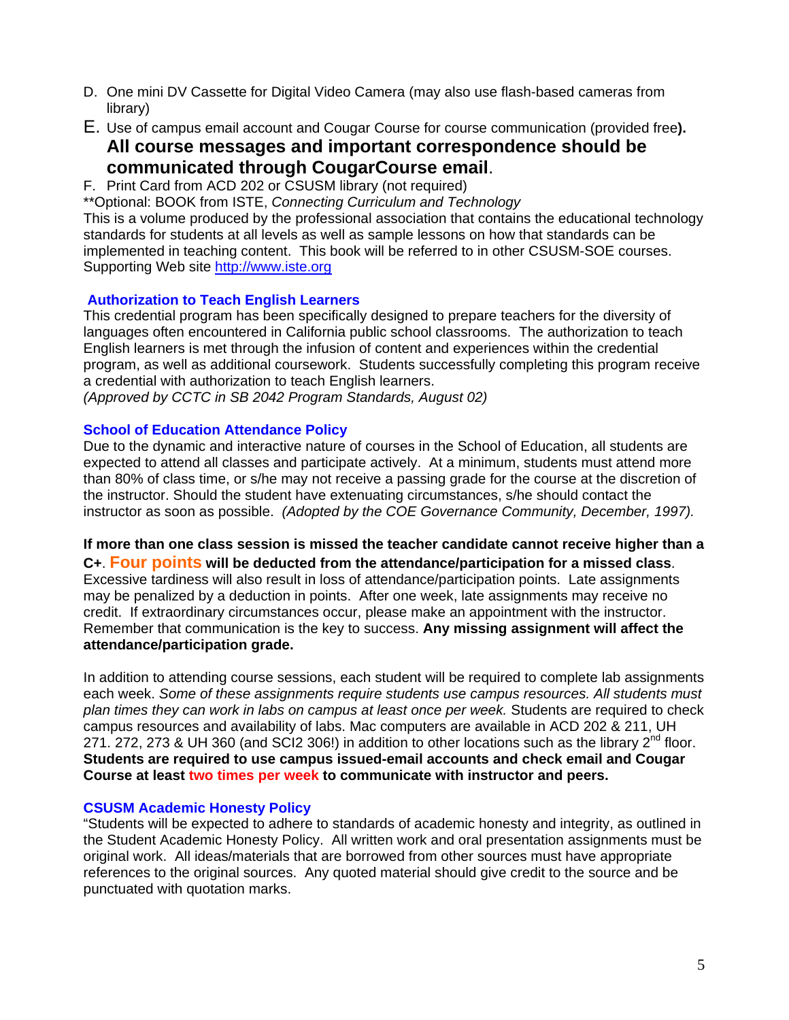- D. One mini DV Cassette for Digital Video Camera (may also use flash-based cameras from library)
- E. Use of campus email account and Cougar Course for course communication (provided free**). All course messages and important correspondence should be communicated through CougarCourse email.**<br>F. Print Card from ACD 202 or CSUSM library (not required)

\*\*Optional: BOOK from ISTE, *Connecting Curriculum and Technology* 

This is a volume produced by the professional association that contains the educational technology standards for students at all levels as well as sample lessons on how that standards can be implemented in teaching content. This book will be referred to in other CSUSM-SOE courses. Supporting Web site http://www.iste.org

### **Authorization to Teach English Learners**

This credential program has been specifically designed to prepare teachers for the diversity of languages often encountered in California public school classrooms. The authorization to teach English learners is met through the infusion of content and experiences within the credential program, as well as additional coursework. Students successfully completing this program receive a credential with authorization to teach English learners.

*(Approved by CCTC in SB 2042 Program Standards, August 02)* 

#### **School of Education Attendance Policy**

 instructor as soon as possible. *(Adopted by the COE Governance Community, December, 1997).* Due to the dynamic and interactive nature of courses in the School of Education, all students are expected to attend all classes and participate actively. At a minimum, students must attend more than 80% of class time, or s/he may not receive a passing grade for the course at the discretion of the instructor. Should the student have extenuating circumstances, s/he should contact the

**If more than one class session is missed the teacher candidate cannot receive higher than a C+**. **Four points will be deducted from the attendance/participation for a missed class**. Excessive tardiness will also result in loss of attendance/participation points. Late assignments may be penalized by a deduction in points. After one week, late assignments may receive no credit. If extraordinary circumstances occur, please make an appointment with the instructor. Remember that communication is the key to success. **Any missing assignment will affect the attendance/participation grade.** 

In addition to attending course sessions, each student will be required to complete lab assignments each week. *Some of these assignments require students use campus resources. All students must plan times they can work in labs on campus at least once per week.* Students are required to check campus resources and availability of labs. Mac computers are available in ACD 202 & 211, UH 271. 272, 273 & UH 360 (and SCI2 306!) in addition to other locations such as the library  $2^{nd}$  floor. **Students are required to use campus issued-email accounts and check email and Cougar Course at least two times per week to communicate with instructor and peers.** 

#### **CSUSM Academic Honesty Policy**

"Students will be expected to adhere to standards of academic honesty and integrity, as outlined in the Student Academic Honesty Policy. All written work and oral presentation assignments must be original work. All ideas/materials that are borrowed from other sources must have appropriate references to the original sources. Any quoted material should give credit to the source and be punctuated with quotation marks.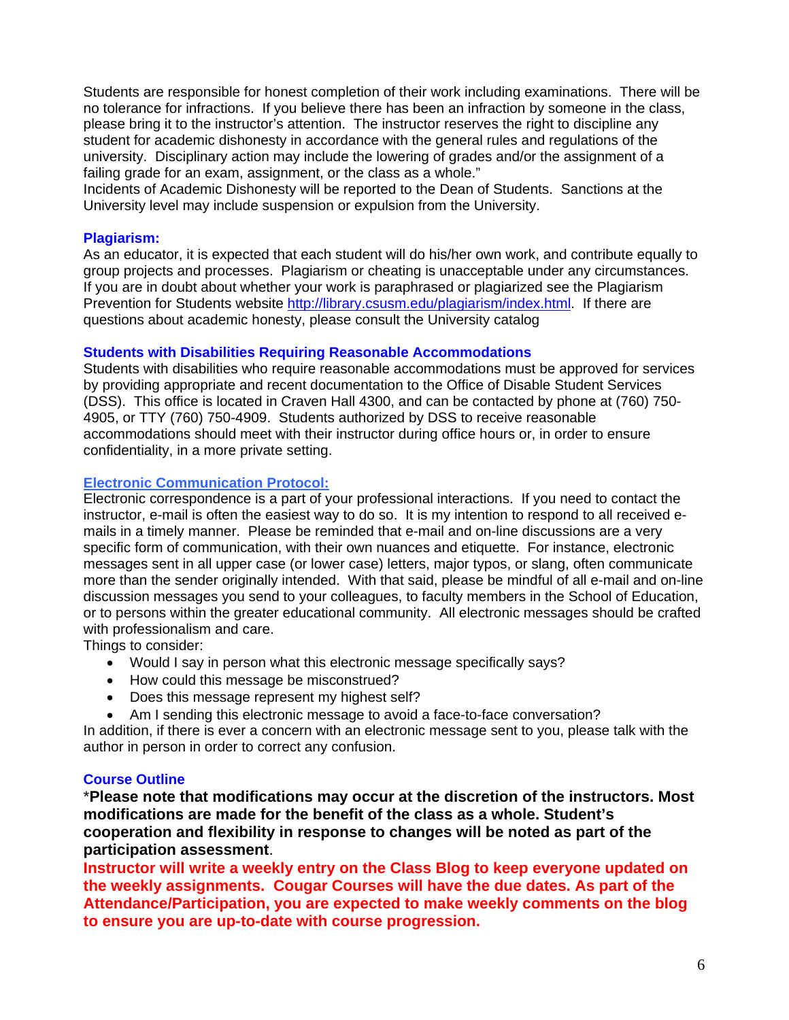Students are responsible for honest completion of their work including examinations. There will be no tolerance for infractions. If you believe there has been an infraction by someone in the class, please bring it to the instructor's attention. The instructor reserves the right to discipline any student for academic dishonesty in accordance with the general rules and regulations of the university. Disciplinary action may include the lowering of grades and/or the assignment of a failing grade for an exam, assignment, or the class as a whole."

Incidents of Academic Dishonesty will be reported to the Dean of Students. Sanctions at the University level may include suspension or expulsion from the University.

### **Plagiarism:**

As an educator, it is expected that each student will do his/her own work, and contribute equally to group projects and processes. Plagiarism or cheating is unacceptable under any circumstances. If you are in doubt about whether your work is paraphrased or plagiarized see the Plagiarism Prevention for Students website http://library.csusm.edu/plagiarism/index.html. If there are questions about academic honesty, please consult the University catalog

#### **Students with Disabilities Requiring Reasonable Accommodations**

Students with disabilities who require reasonable accommodations must be approved for services by providing appropriate and recent documentation to the Office of Disable Student Services (DSS). This office is located in Craven Hall 4300, and can be contacted by phone at (760) 750- 4905, or TTY (760) 750-4909. Students authorized by DSS to receive reasonable accommodations should meet with their instructor during office hours or, in order to ensure confidentiality, in a more private setting.

#### **Electronic Communication Protocol:**

Electronic correspondence is a part of your professional interactions. If you need to contact the instructor, e-mail is often the easiest way to do so. It is my intention to respond to all received emails in a timely manner. Please be reminded that e-mail and on-line discussions are a very specific form of communication, with their own nuances and etiquette. For instance, electronic messages sent in all upper case (or lower case) letters, major typos, or slang, often communicate more than the sender originally intended. With that said, please be mindful of all e-mail and on-line discussion messages you send to your colleagues, to faculty members in the School of Education, or to persons within the greater educational community. All electronic messages should be crafted with professionalism and care.

Things to consider:

- Would I say in person what this electronic message specifically says?
- How could this message be misconstrued?
- Does this message represent my highest self?
- Am I sending this electronic message to avoid a face-to-face conversation?

In addition, if there is ever a concern with an electronic message sent to you, please talk with the author in person in order to correct any confusion.

#### **Course Outline**

\***Please note that modifications may occur at the discretion of the instructors. Most modifications are made for the benefit of the class as a whole. Student's cooperation and flexibility in response to changes will be noted as part of the participation assessment**.

**Instructor will write a weekly entry on the Class Blog to keep everyone updated on the weekly assignments. Cougar Courses will have the due dates. As part of the Attendance/Participation, you are expected to make weekly comments on the blog to ensure you are up-to-date with course progression.**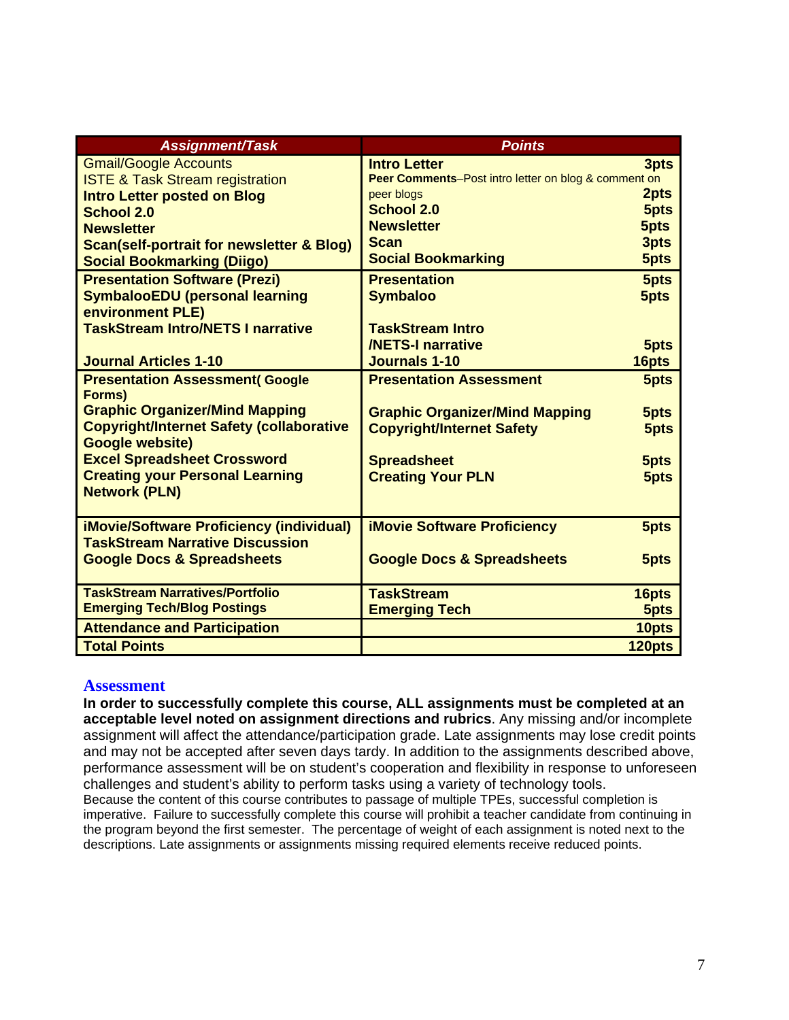| <b>Assignment/Task</b>                                                    | <b>Points</b>                                        |        |
|---------------------------------------------------------------------------|------------------------------------------------------|--------|
| <b>Gmail/Google Accounts</b>                                              | <b>Intro Letter</b>                                  | 3pts   |
| <b>ISTE &amp; Task Stream registration</b>                                | Peer Comments-Post intro letter on blog & comment on |        |
| <b>Intro Letter posted on Blog</b>                                        | peer blogs                                           | 2pts   |
| <b>School 2.0</b>                                                         | <b>School 2.0</b>                                    | 5pts   |
| <b>Newsletter</b>                                                         | <b>Newsletter</b>                                    | 5pts   |
| <b>Scan(self-portrait for newsletter &amp; Blog)</b>                      | <b>Scan</b>                                          | 3pts   |
| <b>Social Bookmarking (Diigo)</b>                                         | <b>Social Bookmarking</b>                            | 5pts   |
| <b>Presentation Software (Prezi)</b>                                      | <b>Presentation</b>                                  | 5pts   |
| <b>SymbalooEDU (personal learning</b>                                     | <b>Symbaloo</b>                                      | 5pts   |
| environment PLE)                                                          |                                                      |        |
| <b>TaskStream Intro/NETS I narrative</b>                                  | <b>TaskStream Intro</b>                              |        |
|                                                                           | <b>/NETS-I narrative</b>                             | 5pts   |
| <b>Journal Articles 1-10</b>                                              | <b>Journals 1-10</b>                                 | 16pts  |
| <b>Presentation Assessment(Google</b>                                     | <b>Presentation Assessment</b>                       | 5pts   |
| Forms)                                                                    |                                                      |        |
| <b>Graphic Organizer/Mind Mapping</b>                                     | <b>Graphic Organizer/Mind Mapping</b>                | 5pts   |
| <b>Copyright/Internet Safety (collaborative</b><br><b>Google website)</b> | <b>Copyright/Internet Safety</b>                     | 5pts   |
| <b>Excel Spreadsheet Crossword</b>                                        | <b>Spreadsheet</b>                                   | 5pts   |
| <b>Creating your Personal Learning</b>                                    | <b>Creating Your PLN</b>                             | 5pts   |
| <b>Network (PLN)</b>                                                      |                                                      |        |
|                                                                           |                                                      |        |
| <b>iMovie/Software Proficiency (individual)</b>                           | <b>iMovie Software Proficiency</b>                   | 5pts   |
| <b>TaskStream Narrative Discussion</b>                                    |                                                      |        |
| <b>Google Docs &amp; Spreadsheets</b>                                     | <b>Google Docs &amp; Spreadsheets</b>                | 5pts   |
|                                                                           |                                                      |        |
| <b>TaskStream Narratives/Portfolio</b>                                    | <b>TaskStream</b>                                    | 16pts  |
| <b>Emerging Tech/Blog Postings</b>                                        | <b>Emerging Tech</b>                                 | 5pts   |
| <b>Attendance and Participation</b>                                       |                                                      | 10pts  |
| <b>Total Points</b>                                                       |                                                      | 120pts |

### **Assessment**

**In order to successfully complete this course, ALL assignments must be completed at an acceptable level noted on assignment directions and rubrics**. Any missing and/or incomplete assignment will affect the attendance/participation grade. Late assignments may lose credit points and may not be accepted after seven days tardy. In addition to the assignments described above, performance assessment will be on student's cooperation and flexibility in response to unforeseen challenges and student's ability to perform tasks using a variety of technology tools. Because the content of this course contributes to passage of multiple TPEs, successful completion is

imperative. Failure to successfully complete this course will prohibit a teacher candidate from continuing in the program beyond the first semester. The percentage of weight of each assignment is noted next to the descriptions. Late assignments or assignments missing required elements receive reduced points.